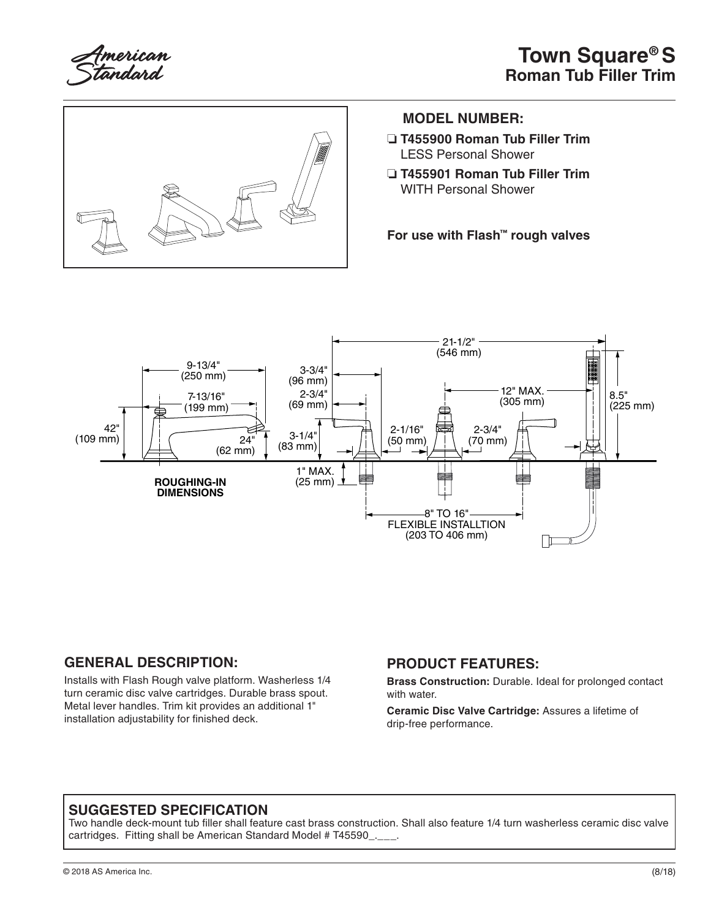



#### **MODEL NUMBER:**

- ❏ **T455900 Roman Tub Filler Trim**  LESS Personal Shower
- ❏ **T455901 Roman Tub Filler Trim**  WITH Personal Shower

**For use with Flash™ rough valves**



#### **GENERAL DESCRIPTION:**

Installs with Flash Rough valve platform. Washerless 1/4 turn ceramic disc valve cartridges. Durable brass spout. Metal lever handles. Trim kit provides an additional 1" installation adjustability for finished deck.

#### **PRODUCT FEATURES:**

**Brass Construction:** Durable. Ideal for prolonged contact with water.

**Ceramic Disc Valve Cartridge:** Assures a lifetime of drip-free performance.

#### **SUGGESTED SPECIFICATION**

Two handle deck-mount tub filler shall feature cast brass construction. Shall also feature 1/4 turn washerless ceramic disc valve cartridges. Fitting shall be American Standard Model # T45590\_.\_\_.